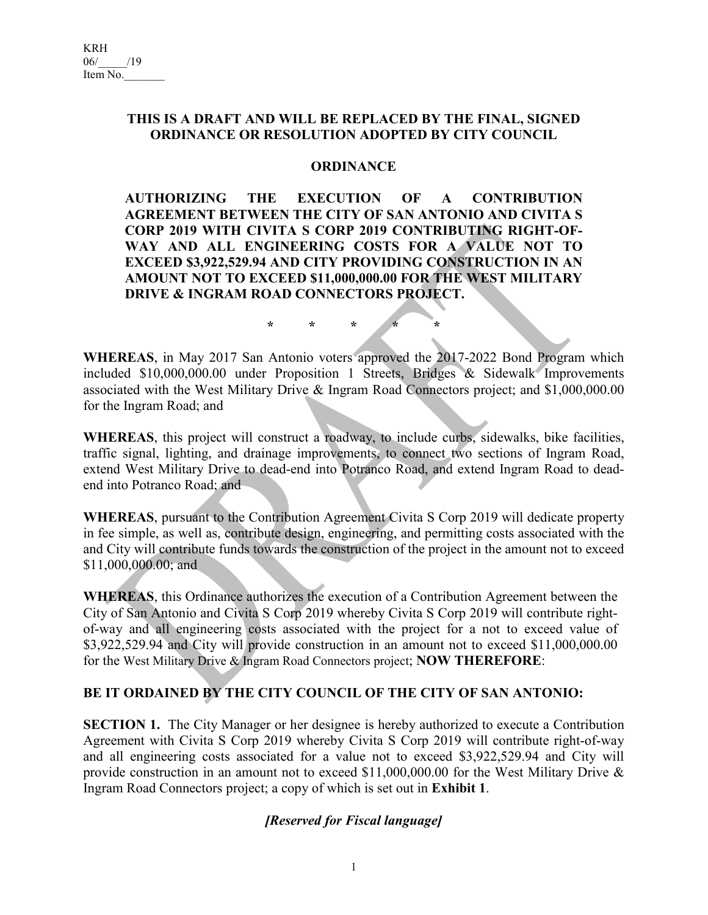## **THIS IS A DRAFT AND WILL BE REPLACED BY THE FINAL, SIGNED ORDINANCE OR RESOLUTION ADOPTED BY CITY COUNCIL**

## **ORDINANCE**

**AUTHORIZING THE EXECUTION OF A CONTRIBUTION AGREEMENT BETWEEN THE CITY OF SAN ANTONIO AND CIVITA S CORP 2019 WITH CIVITA S CORP 2019 CONTRIBUTING RIGHT-OF-WAY AND ALL ENGINEERING COSTS FOR A VALUE NOT TO EXCEED \$3,922,529.94 AND CITY PROVIDING CONSTRUCTION IN AN AMOUNT NOT TO EXCEED \$11,000,000.00 FOR THE WEST MILITARY DRIVE & INGRAM ROAD CONNECTORS PROJECT.** 

**\* \* \* \* \***

**WHEREAS**, in May 2017 San Antonio voters approved the 2017-2022 Bond Program which included \$10,000,000.00 under Proposition 1 Streets, Bridges & Sidewalk Improvements associated with the West Military Drive & Ingram Road Connectors project; and \$1,000,000.00 for the Ingram Road; and

**WHEREAS**, this project will construct a roadway, to include curbs, sidewalks, bike facilities, traffic signal, lighting, and drainage improvements, to connect two sections of Ingram Road, extend West Military Drive to dead-end into Potranco Road, and extend Ingram Road to deadend into Potranco Road; and

**WHEREAS**, pursuant to the Contribution Agreement Civita S Corp 2019 will dedicate property in fee simple, as well as, contribute design, engineering, and permitting costs associated with the and City will contribute funds towards the construction of the project in the amount not to exceed \$11,000,000.00; and

**WHEREAS**, this Ordinance authorizes the execution of a Contribution Agreement between the City of San Antonio and Civita S Corp 2019 whereby Civita S Corp 2019 will contribute rightof-way and all engineering costs associated with the project for a not to exceed value of \$3,922,529.94 and City will provide construction in an amount not to exceed \$11,000,000.00 for the West Military Drive & Ingram Road Connectors project; **NOW THEREFORE**:

## **BE IT ORDAINED BY THE CITY COUNCIL OF THE CITY OF SAN ANTONIO:**

**SECTION 1.** The City Manager or her designee is hereby authorized to execute a Contribution Agreement with Civita S Corp 2019 whereby Civita S Corp 2019 will contribute right-of-way and all engineering costs associated for a value not to exceed \$3,922,529.94 and City will provide construction in an amount not to exceed \$11,000,000.00 for the West Military Drive & Ingram Road Connectors project; a copy of which is set out in **Exhibit 1**.

## *[Reserved for Fiscal language]*